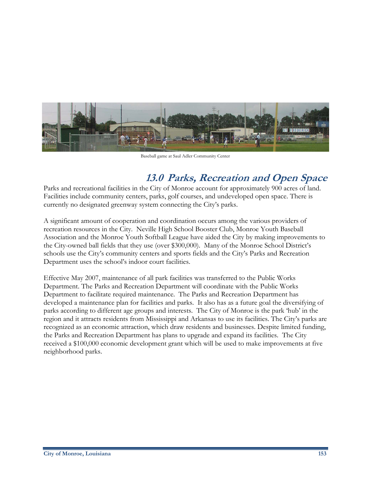

Baseball game at Saul Adler Community Center

# **13.0 Parks, Recreation and Open Space**

Parks and recreational facilities in the City of Monroe account for approximately 900 acres of land. Facilities include community centers, parks, golf courses, and undeveloped open space. There is currently no designated greenway system connecting the City's parks.

A significant amount of cooperation and coordination occurs among the various providers of recreation resources in the City. Neville High School Booster Club, Monroe Youth Baseball Association and the Monroe Youth Softball League have aided the City by making improvements to the City-owned ball fields that they use (over \$300,000). Many of the Monroe School District's schools use the City's community centers and sports fields and the City's Parks and Recreation Department uses the school's indoor court facilities.

Effective May 2007, maintenance of all park facilities was transferred to the Public Works Department. The Parks and Recreation Department will coordinate with the Public Works Department to facilitate required maintenance. The Parks and Recreation Department has developed a maintenance plan for facilities and parks. It also has as a future goal the diversifying of parks according to different age groups and interests. The City of Monroe is the park 'hub' in the region and it attracts residents from Mississippi and Arkansas to use its facilities. The City's parks are recognized as an economic attraction, which draw residents and businesses. Despite limited funding, the Parks and Recreation Department has plans to upgrade and expand its facilities. The City received a \$100,000 economic development grant which will be used to make improvements at five neighborhood parks.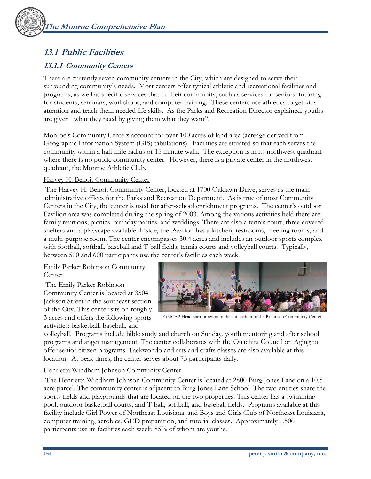## **13.1 Public Facilities**

## **13.1.1 Community Centers**

There are currently seven community centers in the City, which are designed to serve their surrounding community's needs. Most centers offer typical athletic and recreational facilities and programs, as well as specific services that fit their community, such as services for seniors, tutoring for students, seminars, workshops, and computer training. These centers use athletics to get kids attention and teach them needed life skills. As the Parks and Recreation Director explained, youths are given "what they need by giving them what they want".

Monroe's Community Centers account for over 100 acres of land area (acreage derived from Geographic Information System (GIS) tabulations). Facilities are situated so that each serves the community within a half mile radius or 15 minute walk. The exception is in its northwest quadrant where there is no public community center. However, there is a private center in the northwest quadrant, the Monroe Athletic Club.

## Harvey H. Benoit Community Center

 The Harvey H. Benoit Community Center, located at 1700 Oaklawn Drive, serves as the main administrative offices for the Parks and Recreation Department. As is true of most Community Centers in the City, the center is used for after-school enrichment programs. The center's outdoor Pavilion area was completed during the spring of 2003. Among the various activities held there are family reunions, picnics, birthday parties, and weddings. There are also a tennis court, three covered shelters and a playscape available. Inside, the Pavilion has a kitchen, restrooms, meeting rooms, and a multi-purpose room. The center encompasses 30.4 acres and includes an outdoor sports complex with football, softball, baseball and T-ball fields; tennis courts and volleyball courts. Typically, between 500 and 600 participants use the center's facilities each week.

## Emily Parker Robinson Community **Center**

 The Emily Parker Robinson Community Center is located at 3504 Jackson Street in the southeast section of the City. This center sits on roughly 3 acres and offers the following sports activities: basketball, baseball, and



OMCAP Head-start program in the auditorium of the Robinson Community Center

volleyball. Programs include bible study and church on Sunday, youth mentoring and after school programs and anger management. The center collaborates with the Ouachita Council on Aging to offer senior citizen programs. Taekwondo and arts and crafts classes are also available at this location. At peak times, the center serves about 75 participants daily.

### Henrietta Windham Johnson Community Center

 The Henrietta Windham Johnson Community Center is located at 2800 Burg Jones Lane on a 10.5 acre parcel. The community center is adjacent to Burg Jones Lane School. The two entities share the sports fields and playgrounds that are located on the two properties. This center has a swimming pool, outdoor basketball courts, and T-ball, softball, and baseball fields. Programs available at this facility include Girl Power of Northeast Louisiana, and Boys and Girls Club of Northeast Louisiana, computer training, aerobics, GED preparation, and tutorial classes. Approximately 1,500 participants use its facilities each week; 85% of whom are youths.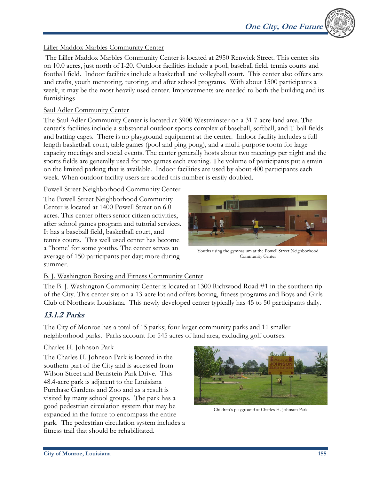## Liller Maddox Marbles Community Center

 The Liller Maddox Marbles Community Center is located at 2950 Renwick Street. This center sits on 10.0 acres, just north of I-20. Outdoor facilities include a pool, baseball field, tennis courts and football field. Indoor facilities include a basketball and volleyball court. This center also offers arts and crafts, youth mentoring, tutoring, and after school programs. With about 1500 participants a week, it may be the most heavily used center. Improvements are needed to both the building and its furnishings

### Saul Adler Community Center

The Saul Adler Community Center is located at 3900 Westminster on a 31.7-acre land area. The center's facilities include a substantial outdoor sports complex of baseball, softball, and T-ball fields and batting cages. There is no playground equipment at the center. Indoor facility includes a full length basketball court, table games (pool and ping pong), and a multi-purpose room for large capacity meetings and social events. The center generally hosts about two meetings per night and the sports fields are generally used for two games each evening. The volume of participants put a strain on the limited parking that is available. Indoor facilities are used by about 400 participants each week. When outdoor facility users are added this number is easily doubled.

## Powell Street Neighborhood Community Center

The Powell Street Neighborhood Community Center is located at 1400 Powell Street on 6.0 acres. This center offers senior citizen activities, after school games program and tutorial services. It has a baseball field, basketball court, and tennis courts. This well used center has become a "home' for some youths. The center serves an average of 150 participants per day; more during summer.



Youths using the gymnasium at the Powell Street Neighborhood Community Center

## B. J. Washington Boxing and Fitness Community Center

The B. J. Washington Community Center is located at 1300 Richwood Road #1 in the southern tip of the City. This center sits on a 13-acre lot and offers boxing, fitness programs and Boys and Girls Club of Northeast Louisiana. This newly developed center typically has 45 to 50 participants daily.

## **13.1.2 Parks**

The City of Monroe has a total of 15 parks; four larger community parks and 11 smaller neighborhood parks. Parks account for 545 acres of land area, excluding golf courses.

## Charles H. Johnson Park

The Charles H. Johnson Park is located in the southern part of the City and is accessed from Wilson Street and Bernstein Park Drive. This 48.4-acre park is adjacent to the Louisiana Purchase Gardens and Zoo and as a result is visited by many school groups. The park has a good pedestrian circulation system that may be expanded in the future to encompass the entire park. The pedestrian circulation system includes a fitness trail that should be rehabilitated.



Children's playground at Charles H. Johnson Park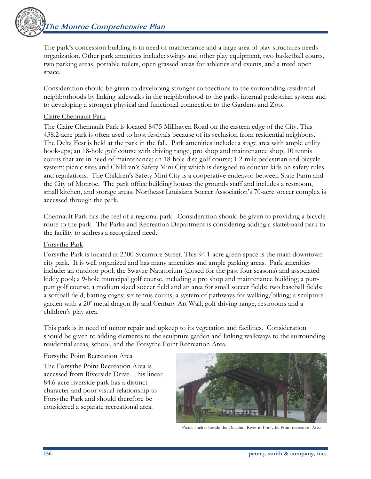The park's concession building is in need of maintenance and a large area of play structures needs organization. Other park amenities include: swings and other play equipment, two basketball courts, two parking areas, portable toilets, open grassed areas for athletics and events, and a treed open space.

Consideration should be given to developing stronger connections to the surrounding residential neighborhoods by linking sidewalks in the neighborhood to the parks internal pedestrian system and to developing a stronger physical and functional connection to the Gardens and Zoo.

#### Claire Chennault Park

The Claire Chennault Park is located 8475 Millhaven Road on the eastern edge of the City. This 438.2-acre park is often used to host festivals because of its seclusion from residential neighbors. The Delta Fest is held at the park in the fall. Park amenities include: a stage area with ample utility hook-ups; an 18-hole golf course with driving range, pro shop and maintenance shop; 10 tennis courts that are in need of maintenance; an 18-hole disc golf course; 1.2-mile pedestrian and bicycle system; picnic sites and Children's Safety Mini City which is designed to educate kids on safety rules and regulations. The Children's Safety Mini City is a cooperative endeavor between State Farm and the City of Monroe. The park office building houses the grounds staff and includes a restroom, small kitchen, and storage areas. Northeast Louisiana Soccer Association's 70-acre soccer complex is accessed through the park.

Chennault Park has the feel of a regional park. Consideration should be given to providing a bicycle route to the park. The Parks and Recreation Department is considering adding a skateboard park to the facility to address a recognized need.

#### Forsythe Park

Forsythe Park is located at 2300 Sycamore Street. This 94.1-acre green space is the main downtown city park. It is well organized and has many amenities and ample parking areas. Park amenities include: an outdoor pool; the Swayze Natatorium (closed for the past four seasons) and associated kiddy pool; a 9-hole municipal golf course, including a pro shop and maintenance building; a puttputt golf course; a medium sized soccer field and an area for small soccer fields; two baseball fields; a softball field; batting cages; six tennis courts; a system of pathways for walking/biking; a sculpture garden with a 20' metal dragon fly and Century Art Wall; golf driving range, restrooms and a children's play area.

This park is in need of minor repair and upkeep to its vegetation and facilities. Consideration should be given to adding elements to the sculpture garden and linking walkways to the surrounding residential areas, school, and the Forsythe Point Recreation Area.

#### Forsythe Point Recreation Area

The Forsythe Point Recreation Area is accessed from Riverside Drive. This linear 84.6-acre riverside park has a distinct character and poor visual relationship to Forsythe Park and should therefore be considered a separate recreational area.



Picnic shelter beside the Ouachita River in Forsythe Point recreation Area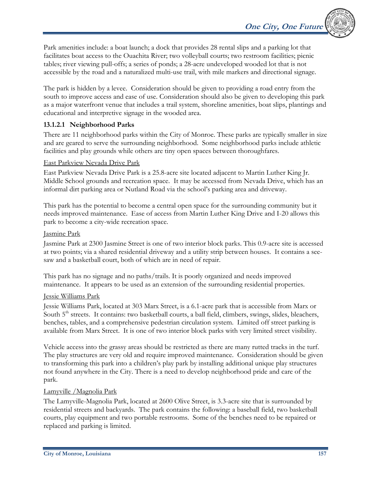Park amenities include: a boat launch; a dock that provides 28 rental slips and a parking lot that facilitates boat access to the Ouachita River; two volleyball courts; two restroom facilities; picnic tables; river viewing pull-offs; a series of ponds; a 28-acre undeveloped wooded lot that is not accessible by the road and a naturalized multi-use trail, with mile markers and directional signage.

The park is hidden by a levee. Consideration should be given to providing a road entry from the south to improve access and ease of use. Consideration should also be given to developing this park as a major waterfront venue that includes a trail system, shoreline amenities, boat slips, plantings and educational and interpretive signage in the wooded area.

## **13.1.2.1 Neighborhood Parks**

There are 11 neighborhood parks within the City of Monroe. These parks are typically smaller in size and are geared to serve the surrounding neighborhood. Some neighborhood parks include athletic facilities and play grounds while others are tiny open spaces between thoroughfares.

## East Parkview Nevada Drive Park

East Parkview Nevada Drive Park is a 25.8-acre site located adjacent to Martin Luther King Jr. Middle School grounds and recreation space. It may be accessed from Nevada Drive, which has an informal dirt parking area or Nutland Road via the school's parking area and driveway.

This park has the potential to become a central open space for the surrounding community but it needs improved maintenance. Ease of access from Martin Luther King Drive and I-20 allows this park to become a city-wide recreation space.

## Jasmine Park

Jasmine Park at 2300 Jasmine Street is one of two interior block parks. This 0.9-acre site is accessed at two points; via a shared residential driveway and a utility strip between houses. It contains a seesaw and a basketball court, both of which are in need of repair.

This park has no signage and no paths/trails. It is poorly organized and needs improved maintenance. It appears to be used as an extension of the surrounding residential properties.

## Jessie Williams Park

Jessie Williams Park, located at 303 Marx Street, is a 6.1-acre park that is accessible from Marx or South 5<sup>th</sup> streets. It contains: two basketball courts, a ball field, climbers, swings, slides, bleachers, benches, tables, and a comprehensive pedestrian circulation system. Limited off street parking is available from Marx Street. It is one of two interior block parks with very limited street visibility.

Vehicle access into the grassy areas should be restricted as there are many rutted tracks in the turf. The play structures are very old and require improved maintenance. Consideration should be given to transforming this park into a children's play park by installing additional unique play structures not found anywhere in the City. There is a need to develop neighborhood pride and care of the park.

## Lamyville /Magnolia Park

The Lamyville-Magnolia Park, located at 2600 Olive Street, is 3.3-acre site that is surrounded by residential streets and backyards. The park contains the following: a baseball field, two basketball courts, play equipment and two portable restrooms. Some of the benches need to be repaired or replaced and parking is limited.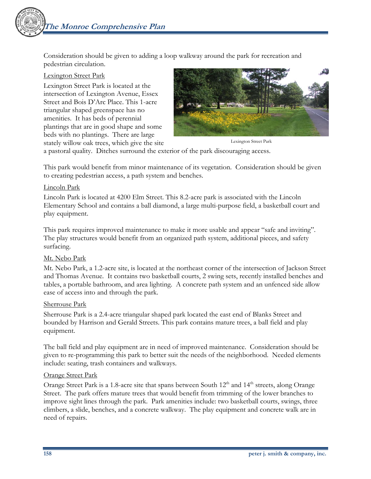Consideration should be given to adding a loop walkway around the park for recreation and pedestrian circulation.

#### Lexington Street Park

Lexington Street Park is located at the intersection of Lexington Avenue, Essex Street and Bois D'Arc Place. This 1-acre triangular shaped greenspace has no amenities. It has beds of perennial plantings that are in good shape and some beds with no plantings. There are large stately willow oak trees, which give the site



Lexington Street Park

a pastoral quality. Ditches surround the exterior of the park discouraging access.

This park would benefit from minor maintenance of its vegetation. Consideration should be given to creating pedestrian access, a path system and benches.

#### Lincoln Park

Lincoln Park is located at 4200 Elm Street. This 8.2-acre park is associated with the Lincoln Elementary School and contains a ball diamond, a large multi-purpose field, a basketball court and play equipment.

This park requires improved maintenance to make it more usable and appear "safe and inviting". The play structures would benefit from an organized path system, additional pieces, and safety surfacing.

### Mt. Nebo Park

Mt. Nebo Park, a 1.2-acre site, is located at the northeast corner of the intersection of Jackson Street and Thomas Avenue. It contains two basketball courts, 2 swing sets, recently installed benches and tables, a portable bathroom, and area lighting. A concrete path system and an unfenced side allow ease of access into and through the park.

#### Sherrouse Park

Sherrouse Park is a 2.4-acre triangular shaped park located the east end of Blanks Street and bounded by Harrison and Gerald Streets. This park contains mature trees, a ball field and play equipment.

The ball field and play equipment are in need of improved maintenance. Consideration should be given to re-programming this park to better suit the needs of the neighborhood. Needed elements include: seating, trash containers and walkways.

#### Orange Street Park

Orange Street Park is a 1.8-acre site that spans between South  $12<sup>th</sup>$  and  $14<sup>th</sup>$  streets, along Orange Street. The park offers mature trees that would benefit from trimming of the lower branches to improve sight lines through the park. Park amenities include: two basketball courts, swings, three climbers, a slide, benches, and a concrete walkway. The play equipment and concrete walk are in need of repairs.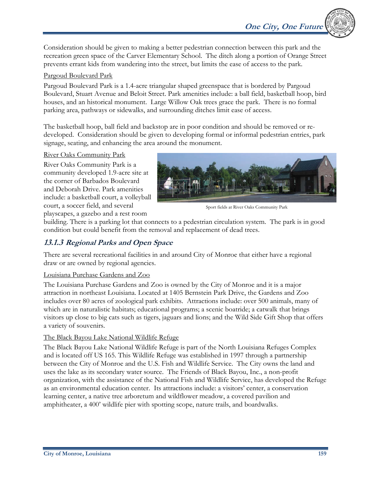**One City, One Future** 

Consideration should be given to making a better pedestrian connection between this park and the recreation green space of the Carver Elementary School. The ditch along a portion of Orange Street prevents errant kids from wandering into the street, but limits the ease of access to the park.

## Pargoud Boulevard Park

Pargoud Boulevard Park is a 1.4-acre triangular shaped greenspace that is bordered by Pargoud Boulevard, Stuart Avenue and Beloit Street. Park amenities include: a ball field, basketball hoop, bird houses, and an historical monument. Large Willow Oak trees grace the park. There is no formal parking area, pathways or sidewalks, and surrounding ditches limit ease of access.

The basketball hoop, ball field and backstop are in poor condition and should be removed or redeveloped. Consideration should be given to developing formal or informal pedestrian entries, park signage, seating, and enhancing the area around the monument.

### River Oaks Community Park

River Oaks Community Park is a community developed 1.9-acre site at the corner of Barbados Boulevard and Deborah Drive. Park amenities include: a basketball court, a volleyball court, a soccer field, and several playscapes, a gazebo and a rest room



Sport fields at River Oaks Community Park

building. There is a parking lot that connects to a pedestrian circulation system. The park is in good condition but could benefit from the removal and replacement of dead trees.

## **13.1.3 Regional Parks and Open Space**

There are several recreational facilities in and around City of Monroe that either have a regional draw or are owned by regional agencies.

## Louisiana Purchase Gardens and Zoo

The Louisiana Purchase Gardens and Zoo is owned by the City of Monroe and it is a major attraction in northeast Louisiana. Located at 1405 Bernstein Park Drive, the Gardens and Zoo includes over 80 acres of zoological park exhibits. Attractions include: over 500 animals, many of which are in naturalistic habitats; educational programs; a scenic boatride; a catwalk that brings visitors up close to big cats such as tigers, jaguars and lions; and the Wild Side Gift Shop that offers a variety of souvenirs.

### The Black Bayou Lake National Wildlife Refuge

The Black Bayou Lake National Wildlife Refuge is part of the North Louisiana Refuges Complex and is located off US 165. This Wildlife Refuge was established in 1997 through a partnership between the City of Monroe and the U.S. Fish and Wildlife Service. The City owns the land and uses the lake as its secondary water source. The Friends of Black Bayou, Inc., a non-profit organization, with the assistance of the National Fish and Wildlife Service, has developed the Refuge as an environmental education center. Its attractions include: a visitors' center, a conservation learning center, a native tree arboretum and wildflower meadow, a covered pavilion and amphitheater, a 400' wildlife pier with spotting scope, nature trails, and boardwalks.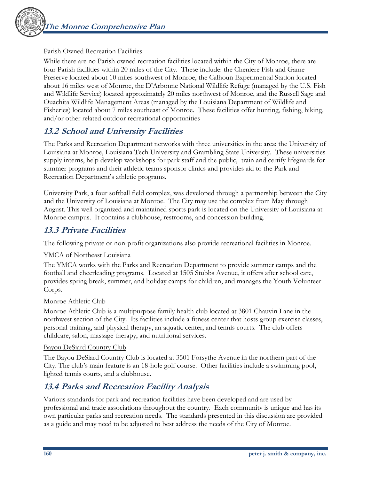

### Parish Owned Recreation Facilities

While there are no Parish owned recreation facilities located within the City of Monroe, there are four Parish facilities within 20 miles of the City. These include: the Cheniere Fish and Game Preserve located about 10 miles southwest of Monroe, the Calhoun Experimental Station located about 16 miles west of Monroe, the D'Arbonne National Wildlife Refuge (managed by the U.S. Fish and Wildlife Service) located approximately 20 miles northwest of Monroe, and the Russell Sage and Ouachita Wildlife Management Areas (managed by the Louisiana Department of Wildlife and Fisheries) located about 7 miles southeast of Monroe. These facilities offer hunting, fishing, hiking, and/or other related outdoor recreational opportunities

## **13.2 School and University Facilities**

The Parks and Recreation Department networks with three universities in the area: the University of Louisiana at Monroe, Louisiana Tech University and Grambling State University. These universities supply interns, help develop workshops for park staff and the public, train and certify lifeguards for summer programs and their athletic teams sponsor clinics and provides aid to the Park and Recreation Department's athletic programs.

University Park, a four softball field complex, was developed through a partnership between the City and the University of Louisiana at Monroe. The City may use the complex from May through August. This well organized and maintained sports park is located on the University of Louisiana at Monroe campus. It contains a clubhouse, restrooms, and concession building.

## **13.3 Private Facilities**

The following private or non-profit organizations also provide recreational facilities in Monroe.

### YMCA of Northeast Louisiana

The YMCA works with the Parks and Recreation Department to provide summer camps and the football and cheerleading programs. Located at 1505 Stubbs Avenue, it offers after school care, provides spring break, summer, and holiday camps for children, and manages the Youth Volunteer Corps.

#### Monroe Athletic Club

Monroe Athletic Club is a multipurpose family health club located at 3801 Chauvin Lane in the northwest section of the City. Its facilities include a fitness center that hosts group exercise classes, personal training, and physical therapy, an aquatic center, and tennis courts. The club offers childcare, salon, massage therapy, and nutritional services.

#### Bayou DeSiard Country Club

The Bayou DeSiard Country Club is located at 3501 Forsythe Avenue in the northern part of the City. The club's main feature is an 18-hole golf course. Other facilities include a swimming pool, lighted tennis courts, and a clubhouse.

## **13.4 Parks and Recreation Facility Analysis**

Various standards for park and recreation facilities have been developed and are used by professional and trade associations throughout the country. Each community is unique and has its own particular parks and recreation needs. The standards presented in this discussion are provided as a guide and may need to be adjusted to best address the needs of the City of Monroe.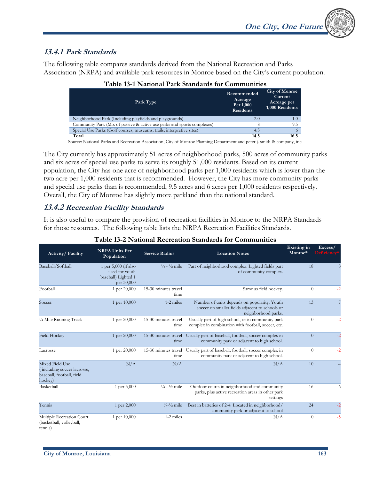

## **13.4.1 Park Standards**

The following table compares standards derived from the National Recreation and Parks Association (NRPA) and available park resources in Monroe based on the City's current population.

| таріс 19-1 гуаціонаг ганх опшимногог сонішання з                        |                                                         |                                                                    |  |  |
|-------------------------------------------------------------------------|---------------------------------------------------------|--------------------------------------------------------------------|--|--|
| Park Type                                                               | Recommended<br>Acreage<br>Per 1,000<br><b>Residents</b> | <b>City of Monroe</b><br>Current<br>Acreage per<br>1,000 Residents |  |  |
| Neighborhood Park (Including playfields and playgrounds)                | 2.0                                                     | 1.0                                                                |  |  |
| Community Park (Mix of passive & active use parks and sports complexes) |                                                         | 9.5                                                                |  |  |
| Special Use Parks (Golf courses, museums, trails, interpretive sites)   | 4.5                                                     |                                                                    |  |  |
| Total                                                                   | 14.5                                                    | 16.5                                                               |  |  |

### **Table 13-1 National Park Standards for Communities**

Source: National Parks and Recreation Association, City of Monroe Planning Department and peter j. smith & company, inc.

The City currently has approximately 51 acres of neighborhood parks, 500 acres of community parks and six acres of special use parks to serve its roughly 51,000 residents. Based on its current population, the City has one acre of neighborhood parks per 1,000 residents which is lower than the two acre per 1,000 residents that is recommended. However, the City has more community parks and special use parks than is recommended, 9.5 acres and 6 acres per 1,000 residents respectively. Overall, the City of Monroe has slightly more parkland than the national standard.

## **13.4.2 Recreation Facility Standards**

It is also useful to compare the provision of recreation facilities in Monroe to the NRPA Standards for those resources. The following table lists the NRPA Recreation Facilities Standards.

| Activity/Facility                                                                      | <b>NRPA Units Per</b><br>Population                                           | <b>Service Radius</b>              | <b>Location Notes</b>                                                                                                  | Existing in<br>Monroe* | Excess/<br><b>Deficiency</b> |
|----------------------------------------------------------------------------------------|-------------------------------------------------------------------------------|------------------------------------|------------------------------------------------------------------------------------------------------------------------|------------------------|------------------------------|
| Baseball/Softball                                                                      | 1 per $5,000$ (if also<br>used for youth<br>baseball) Lighted 1<br>per 30,000 | $\frac{1}{4}$ - $\frac{1}{2}$ mile | Part of neighborhood complex. Lighted fields part<br>of community complex.                                             | 18                     | 8                            |
| Football                                                                               | 1 per 20,000                                                                  | 15-30 minutes travel<br>time       | Same as field hockey.                                                                                                  | $\theta$               | $-2$                         |
| Soccer                                                                                 | 1 per 10,000                                                                  | 1-2 miles                          | Number of units depends on popularity. Youth<br>soccer on smaller fields adjacent to schools or<br>neighborhood parks. | 13                     |                              |
| 1/4 Mile Running Track                                                                 | 1 per 20,000                                                                  | 15-30 minutes travel<br>time       | Usually part of high school, or in community park<br>complex in combination with football, soccer, etc.                | $\theta$               | $-2$                         |
| <b>Field Hockey</b>                                                                    | 1 per 20,000                                                                  | 15-30 minutes travel<br>time       | Usually part of baseball, football, soccer complex in<br>community park or adjacent to high school.                    | $\overline{0}$         | $-2$                         |
| Lacrosse                                                                               | 1 per 20,000                                                                  | 15-30 minutes travel<br>time       | Usually part of baseball, football, soccer complex in<br>community park or adjacent to high school.                    | $\theta$               | $-2$                         |
| Mixed Field Use<br>(including soccer lacrosse,<br>baseball, football, field<br>hockey) | N/A                                                                           | N/A                                | N/A                                                                                                                    | 10                     |                              |
| Basketball                                                                             | 1 per 5,000                                                                   | $\frac{1}{4}$ - $\frac{1}{2}$ mile | Outdoor courts in neighborhood and community<br>parks, plus active recreation areas in other park<br>settings          | 16                     | 6                            |
| Tennis                                                                                 | 1 per 2,000                                                                   | $\frac{1}{4}$ - $\frac{1}{2}$ mile | Best in batteries of 2-4. Located in neighborhood/<br>community park or adjacent to school                             | 24                     | $-2$                         |
| Multiple Recreation Court<br>(basketball, volleyball,<br>tennis)                       | 1 per 10,000                                                                  | 1-2 miles                          | N/A                                                                                                                    | $\theta$               | $-5$                         |

## **Table 13-2 National Recreation Standards for Communities**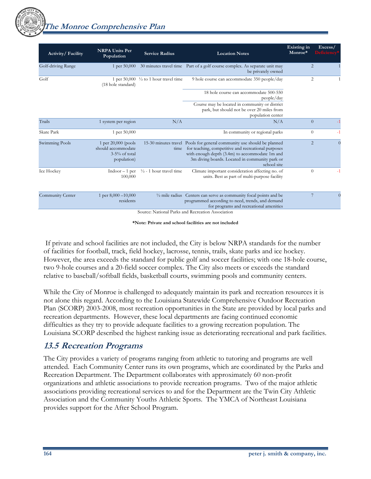**The Monroe Comprehensive Plan** 

| Activity/Facility  | <b>NRPA Units Per</b><br>Population                                           | <b>Service Radius</b>                            | <b>Location Notes</b>                                                                                                                                                                                                                            | Existing in<br>Monroe* | Excess/<br><b>Deficiency</b> |
|--------------------|-------------------------------------------------------------------------------|--------------------------------------------------|--------------------------------------------------------------------------------------------------------------------------------------------------------------------------------------------------------------------------------------------------|------------------------|------------------------------|
| Golf-driving Range | 1 per $50,000$                                                                |                                                  | 30 minutes travel time Part of a golf course complex. As separate unit may<br>be privately owned                                                                                                                                                 |                        | 2                            |
| Golf               | (18 hole standard)                                                            | 1 per $50,000 \frac{1}{2}$ to 1 hour travel time | 9 hole course can accommodate 350 people/day                                                                                                                                                                                                     |                        | 2                            |
|                    |                                                                               |                                                  | 18 hole course can accommodate 500-550<br>people/day                                                                                                                                                                                             |                        |                              |
|                    |                                                                               |                                                  | Course may be located in community or district<br>park, but should not be over 20 miles from<br>population center                                                                                                                                |                        |                              |
| Trails             | 1 system per region                                                           | N/A                                              | N/A                                                                                                                                                                                                                                              |                        | $\theta$                     |
| Skate Park         | 1 per 50,000                                                                  |                                                  | In community or regional parks                                                                                                                                                                                                                   |                        | $\theta$<br>$-1$             |
| Swimming Pools     | 1 per $20,000$ (pools<br>should accommodate<br>$3-5%$ of total<br>population) | time                                             | 15-30 minutes travel Pools for general community use should be planned<br>for teaching, competitive and recreational purposes<br>with enough depth (3.4m) to accommodate 1m and<br>3m diving boards. Located in community park or<br>school site |                        | 2<br>$\theta$                |
| Ice Hockey         | $Indoor - 1 per$<br>100,000                                                   | $\frac{1}{2}$ - 1 hour travel time               | Climate important consideration affecting no. of<br>units. Best as part of multi-purpose facility                                                                                                                                                |                        | $\theta$<br>$-1$             |
| Community Center   | 1 per 8,000 - 10,000<br>residents                                             |                                                  | 1/2 mile radius Centers can serve as community focal points and be<br>programmed according to need, trends, and demand<br>for programs and recreational amenities                                                                                |                        | $\overline{7}$<br>$\Omega$   |

Source: National Parks and Recreation Association

**\*Note: Private and school facilities are not included** 

 If private and school facilities are not included, the City is below NRPA standards for the number of facilities for football, track, field hockey, lacrosse, tennis, trails, skate parks and ice hockey. However, the area exceeds the standard for public golf and soccer facilities; with one 18-hole course, two 9-hole courses and a 20-field soccer complex. The City also meets or exceeds the standard relative to baseball/softball fields, basketball courts, swimming pools and community centers.

While the City of Monroe is challenged to adequately maintain its park and recreation resources it is not alone this regard. According to the Louisiana Statewide Comprehensive Outdoor Recreation Plan (SCORP) 2003-2008, most recreation opportunities in the State are provided by local parks and recreation departments. However, these local departments are facing continued economic difficulties as they try to provide adequate facilities to a growing recreation population. The Louisiana SCORP described the highest ranking issue as deteriorating recreational and park facilities.

## **13.5 Recreation Programs**

The City provides a variety of programs ranging from athletic to tutoring and programs are well attended. Each Community Center runs its own programs, which are coordinated by the Parks and Recreation Department. The Department collaborates with approximately 60 non-profit organizations and athletic associations to provide recreation programs. Two of the major athletic associations providing recreational services to and for the Department are the Twin City Athletic Association and the Community Youths Athletic Sports. The YMCA of Northeast Louisiana provides support for the After School Program.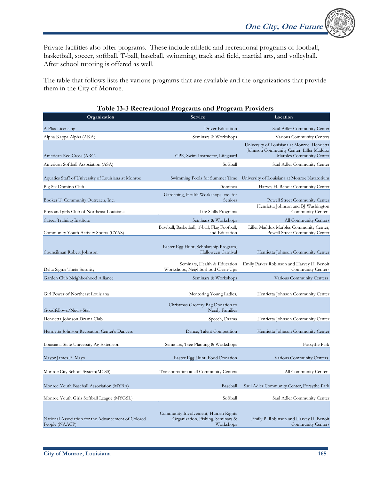**One City, One Future** 

Private facilities also offer programs. These include athletic and recreational programs of football, basketball, soccer, softball, T-ball, baseball, swimming, track and field, martial arts, and volleyball. After school tutoring is offered as well.

The table that follows lists the various programs that are available and the organizations that provide them in the City of Monroe.

|                                                                       | Table 15-5 Recreational Programs and Program Providers            |                                                                                                                     |
|-----------------------------------------------------------------------|-------------------------------------------------------------------|---------------------------------------------------------------------------------------------------------------------|
| Organization                                                          | Service                                                           | Location                                                                                                            |
| A Plus Licensing                                                      | Driver Education                                                  | Saul Adler Community Center                                                                                         |
| Alpha Kappa Alpha (AKA)                                               | Seminars & Workshops                                              | Various Community Centers                                                                                           |
| American Red Cross (ARC)                                              | CPR, Swim Instructor, Lifeguard                                   | University of Louisiana at Monroe, Henrietta<br>Johnson Community Center, Liller Maddox<br>Marbles Community Center |
| American Softball Association (ASA)                                   | Softball                                                          | Saul Adler Community Center                                                                                         |
| Aquatics Staff of University of Louisiana at Monroe                   | Swimming Pools for Summer Time                                    | University of Louisiana at Monroe Natatorium                                                                        |
|                                                                       |                                                                   | Harvey H. Benoit Community Center                                                                                   |
| Big Six Domino Club<br>Booker T. Community Outreach, Inc.             | Dominos<br>Gardening, Health Workshops, etc. for<br>Seniors       | Powell Street Community Center                                                                                      |
| Boys and girls Club of Northeast Louisiana                            | Life Skills Programs                                              | Henrietta Johnson and BJ Washington<br>Community Centers                                                            |
| Career Training Institute                                             | Seminars & Workshops                                              | All Community Centers                                                                                               |
| Community Youth Activity Sports (CYAS)                                | Baseball, Basketball, T-ball, Flag Football,<br>and Education     | Liller Maddox Marbles Community Center,<br>Powell Street Community Center                                           |
|                                                                       |                                                                   |                                                                                                                     |
| Councilman Robert Johnson                                             | Easter Egg Hunt, Scholarship Program,<br>Halloween Carnival       | Henrietta Johnson Community Center                                                                                  |
| Delta Sigma Theta Sorority                                            | Seminars, Health & Education<br>Workshops, Neighborhood Clean-Ups | Emily Parker Robinson and Harvey H. Benoit<br><b>Community Centers</b>                                              |
| Garden Club Neighborhood Alliance                                     | Seminars & Workshops                                              | Various Community Centers                                                                                           |
| Girl Power of Northeast Louisiana                                     | Mentoring Young Ladies,<br>Christmas Grocery Bag Donation to      | Henrietta Johnson Community Center                                                                                  |
| Goodfellows/News-Star                                                 | Needy Families                                                    |                                                                                                                     |
| Henrietta Johnson Drama Club                                          | Speech, Drama                                                     | Henrietta Johnson Community Center                                                                                  |
| Henrietta Johnson Recreation Center's Dancers                         | Dance, Talent Competition                                         | Henrietta Johnson Community Center                                                                                  |
| Louisiana State University Ag Extension                               | Seminars, Tree Planting & Workshops                               | Forsythe Park                                                                                                       |
| Mayor James E. Mayo                                                   | Easter Egg Hunt, Food Donation                                    | Various Community Centers                                                                                           |
| Monroe City School System(MCSS)                                       | Transportation at all Community Centers                           | All Community Centers                                                                                               |
| Monroe Youth Baseball Association (MYBA)                              | Baseball                                                          | Saul Adler Community Center, Forsythe Park                                                                          |
| Monroe Youth Girls Softball League (MYGSL)                            | Softball                                                          | Saul Adler Community Center                                                                                         |
|                                                                       | Community Involvement, Human Rights                               |                                                                                                                     |
| National Association for the Advancement of Colored<br>People (NAACP) | Organization, Fishing, Seminars &<br>Workshops                    | Emily P. Robinson and Harvey H. Benoit<br><b>Community Centers</b>                                                  |

### **Table 13-3 Recreational Programs and Program Providers**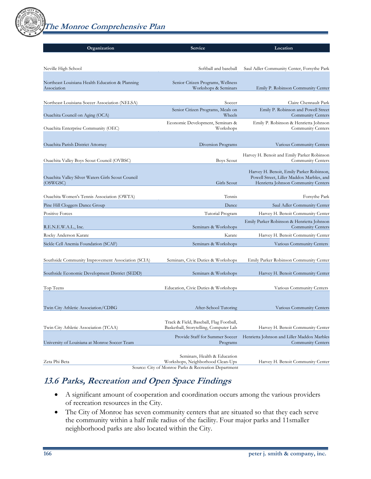**The Monroe Comprehensive Plan** 

| Organization                                                  | Service                                                                           | Location                                                                         |
|---------------------------------------------------------------|-----------------------------------------------------------------------------------|----------------------------------------------------------------------------------|
|                                                               |                                                                                   |                                                                                  |
|                                                               |                                                                                   |                                                                                  |
| Neville High School                                           | Softball and baseball                                                             | Saul Adler Community Center, Forsythe Park                                       |
| Northeast Louisiana Health Education & Planning               | Senior Citizen Programs, Wellness                                                 |                                                                                  |
| Association                                                   | Workshops & Seminars                                                              | Emily P. Robinson Community Center                                               |
|                                                               |                                                                                   |                                                                                  |
| Northeast Louisiana Soccer Association (NELSA)                | Soccer                                                                            | Claire Chennault Park                                                            |
| Ouachita Council on Aging (OCA)                               | Senior Citizen Programs, Meals on<br>Wheels                                       | Emily P. Robinson and Powell Street<br><b>Community Centers</b>                  |
|                                                               | Economic Development, Seminars &                                                  | Emily P. Robinson & Henrietta Johnson                                            |
| Ouachita Enterprise Community (OEC)                           | Workshops                                                                         | Community Centers                                                                |
|                                                               |                                                                                   |                                                                                  |
| <b>Ouachita Parish District Attorney</b>                      | Diversion Programs                                                                | Various Community Centers                                                        |
|                                                               |                                                                                   | Harvey H. Benoit and Emily Parker Robinson                                       |
| Ouachita Valley Boys Scout Council (OVBSC)                    | <b>Boys Scout</b>                                                                 | Community Centers                                                                |
|                                                               |                                                                                   | Harvey H. Benoit, Emily Parker Robinson,                                         |
| Ouachita Valley Silver Waters Girls Scout Council<br>(OSWGSC) | Girls Scout                                                                       | Powell Street, Liller Maddox Marbles, and<br>Henrietta Johnson Community Centers |
|                                                               |                                                                                   |                                                                                  |
| Ouachita Women's Tennis Association (OWTA)                    | Tennis                                                                            | Forsythe Park                                                                    |
| Pine Hill Cloggers Dance Group                                | Dance                                                                             | Saul Adler Community Center                                                      |
| <b>Positive Forces</b>                                        | Tutorial Program                                                                  | Harvey H. Benoit Community Center                                                |
|                                                               |                                                                                   | Emily Parker Robinson & Henrietta Johnson                                        |
| R.E.N.E.W.A.L., Inc.                                          | Seminars & Workshops                                                              | <b>Community Centers</b>                                                         |
| Rocky Anderson Karate                                         | Karate                                                                            | Harvey H. Benoit Community Center                                                |
| Sickle Cell Anemia Foundation (SCAF)                          | Seminars & Workshops                                                              | Various Community Centers                                                        |
| Southside Community Improvement Association (SCIA)            | Seminars, Civic Duties & Workshops                                                | Emily Parker Robinson Community Center                                           |
|                                                               |                                                                                   |                                                                                  |
| Southside Economic Development District (SEDD)                | Seminars & Workshops                                                              | Harvey H. Benoit Community Center                                                |
|                                                               |                                                                                   |                                                                                  |
| Top Teens                                                     | Education, Civic Duties & Workshops                                               | Various Community Centers                                                        |
|                                                               |                                                                                   |                                                                                  |
| Twin City Athletic Association/CDBG                           | After-School Tutoring                                                             | Various Community Centers                                                        |
|                                                               |                                                                                   |                                                                                  |
| Twin City Athletic Association (TCAA)                         | Track & Field, Baseball, Flag Football,<br>Basketball, Storytelling, Computer Lab | Harvey H. Benoit Community Center                                                |
|                                                               |                                                                                   |                                                                                  |
| University of Louisiana at Monroe Soccer Team                 | Provide Staff for Summer Soccer<br>Programs                                       | Henrietta Johnson and Liller Maddox Marbles<br><b>Community Centers</b>          |
|                                                               |                                                                                   |                                                                                  |
| Zeta Phi Beta                                                 | Seminars, Health & Education<br>Workshops, Neighborhood Clean-Ups                 | Harvey H. Benoit Community Center                                                |
|                                                               |                                                                                   |                                                                                  |

Source: City of Monroe Parks & Recreation Department

## **13.6 Parks, Recreation and Open Space Findings**

- A significant amount of cooperation and coordination occurs among the various providers of recreation resources in the City.
- The City of Monroe has seven community centers that are situated so that they each serve the community within a half mile radius of the facility. Four major parks and 11smaller neighborhood parks are also located within the City.